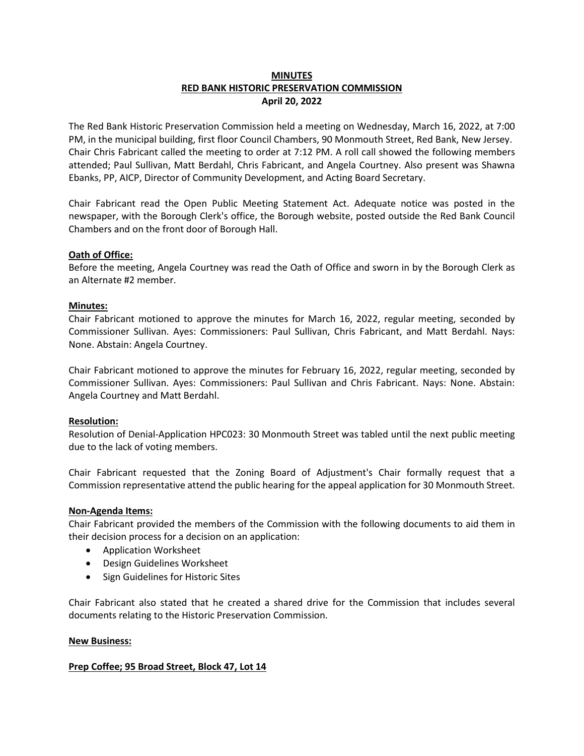# **MINUTES RED BANK HISTORIC PRESERVATION COMMISSION April 20, 2022**

The Red Bank Historic Preservation Commission held a meeting on Wednesday, March 16, 2022, at 7:00 PM, in the municipal building, first floor Council Chambers, 90 Monmouth Street, Red Bank, New Jersey. Chair Chris Fabricant called the meeting to order at 7:12 PM. A roll call showed the following members attended; Paul Sullivan, Matt Berdahl, Chris Fabricant, and Angela Courtney. Also present was Shawna Ebanks, PP, AICP, Director of Community Development, and Acting Board Secretary.

Chair Fabricant read the Open Public Meeting Statement Act. Adequate notice was posted in the newspaper, with the Borough Clerk's office, the Borough website, posted outside the Red Bank Council Chambers and on the front door of Borough Hall.

## **Oath of Office:**

Before the meeting, Angela Courtney was read the Oath of Office and sworn in by the Borough Clerk as an Alternate #2 member.

#### **Minutes:**

Chair Fabricant motioned to approve the minutes for March 16, 2022, regular meeting, seconded by Commissioner Sullivan. Ayes: Commissioners: Paul Sullivan, Chris Fabricant, and Matt Berdahl. Nays: None. Abstain: Angela Courtney.

Chair Fabricant motioned to approve the minutes for February 16, 2022, regular meeting, seconded by Commissioner Sullivan. Ayes: Commissioners: Paul Sullivan and Chris Fabricant. Nays: None. Abstain: Angela Courtney and Matt Berdahl.

#### **Resolution:**

Resolution of Denial-Application HPC023: 30 Monmouth Street was tabled until the next public meeting due to the lack of voting members.

Chair Fabricant requested that the Zoning Board of Adjustment's Chair formally request that a Commission representative attend the public hearing for the appeal application for 30 Monmouth Street.

#### **Non-Agenda Items:**

Chair Fabricant provided the members of the Commission with the following documents to aid them in their decision process for a decision on an application:

- Application Worksheet
- Design Guidelines Worksheet
- Sign Guidelines for Historic Sites

Chair Fabricant also stated that he created a shared drive for the Commission that includes several documents relating to the Historic Preservation Commission.

#### **New Business:**

## **Prep Coffee; 95 Broad Street, Block 47, Lot 14**